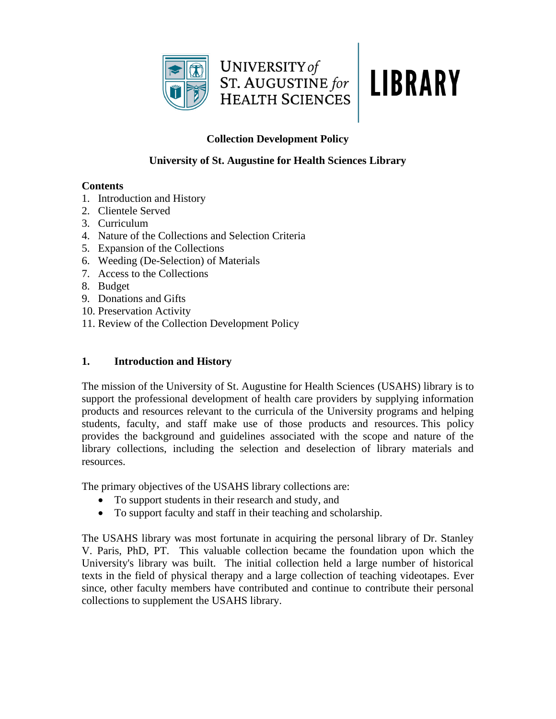

# **LIBRARY**

# **Collection Development Policy**

## **University of St. Augustine for Health Sciences Library**

## **Contents**

- 1. Introduction and History
- 2. Clientele Served
- 3. Curriculum
- 4. Nature of the Collections and Selection Criteria
- 5. Expansion of the Collections
- 6. Weeding (De-Selection) of Materials
- 7. Access to the Collections
- 8. Budget
- 9. Donations and Gifts
- 10. Preservation Activity
- 11. Review of the Collection Development Policy

# **1. Introduction and History**

The mission of the University of St. Augustine for Health Sciences (USAHS) library is to support the professional development of health care providers by supplying information products and resources relevant to the curricula of the University programs and helping students, faculty, and staff make use of those products and resources. This policy provides the background and guidelines associated with the scope and nature of the library collections, including the selection and deselection of library materials and resources.

The primary objectives of the USAHS library collections are:

- To support students in their research and study, and
- To support faculty and staff in their teaching and scholarship.

The USAHS library was most fortunate in acquiring the personal library of Dr. Stanley V. Paris, PhD, PT. This valuable collection became the foundation upon which the University's library was built. The initial collection held a large number of historical texts in the field of physical therapy and a large collection of teaching videotapes. Ever since, other faculty members have contributed and continue to contribute their personal collections to supplement the USAHS library.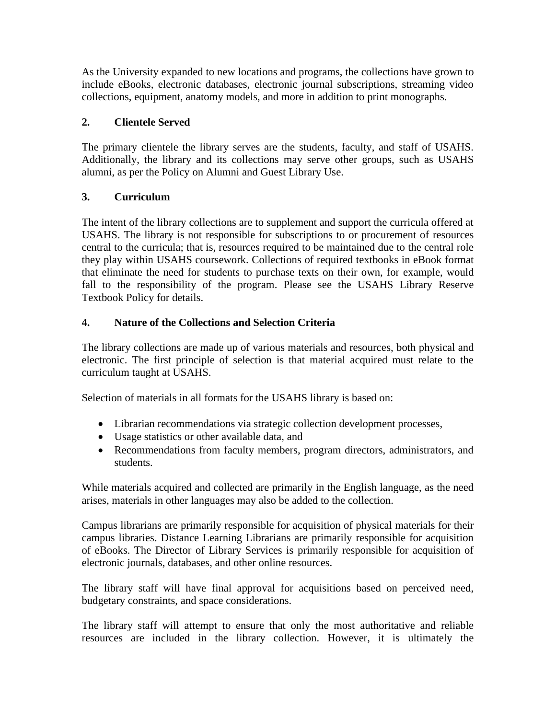As the University expanded to new locations and programs, the collections have grown to include eBooks, electronic databases, electronic journal subscriptions, streaming video collections, equipment, anatomy models, and more in addition to print monographs.

## **2. Clientele Served**

The primary clientele the library serves are the students, faculty, and staff of USAHS. Additionally, the library and its collections may serve other groups, such as USAHS alumni, as per the Policy on Alumni and Guest Library Use.

## **3. Curriculum**

The intent of the library collections are to supplement and support the curricula offered at USAHS. The library is not responsible for subscriptions to or procurement of resources central to the curricula; that is, resources required to be maintained due to the central role they play within USAHS coursework. Collections of required textbooks in eBook format that eliminate the need for students to purchase texts on their own, for example, would fall to the responsibility of the program. Please see the USAHS Library Reserve Textbook Policy for details.

## **4. Nature of the Collections and Selection Criteria**

The library collections are made up of various materials and resources, both physical and electronic. The first principle of selection is that material acquired must relate to the curriculum taught at USAHS.

Selection of materials in all formats for the USAHS library is based on:

- Librarian recommendations via strategic collection development processes,
- Usage statistics or other available data, and
- Recommendations from faculty members, program directors, administrators, and students.

While materials acquired and collected are primarily in the English language, as the need arises, materials in other languages may also be added to the collection.

Campus librarians are primarily responsible for acquisition of physical materials for their campus libraries. Distance Learning Librarians are primarily responsible for acquisition of eBooks. The Director of Library Services is primarily responsible for acquisition of electronic journals, databases, and other online resources.

The library staff will have final approval for acquisitions based on perceived need, budgetary constraints, and space considerations.

The library staff will attempt to ensure that only the most authoritative and reliable resources are included in the library collection. However, it is ultimately the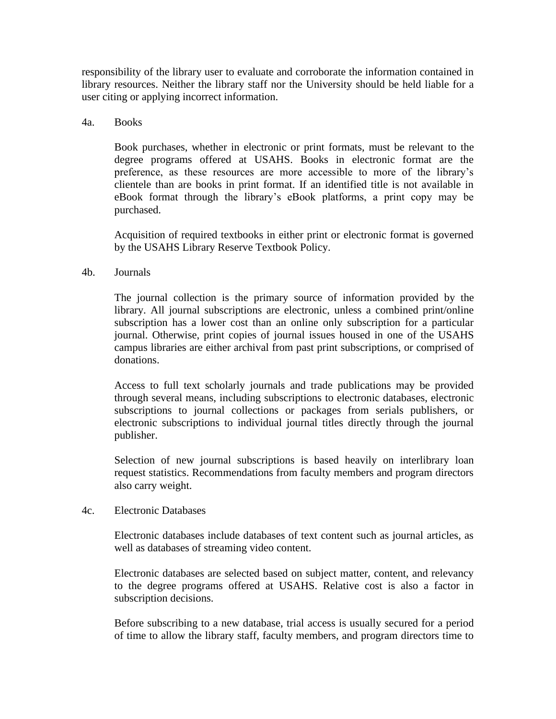responsibility of the library user to evaluate and corroborate the information contained in library resources. Neither the library staff nor the University should be held liable for a user citing or applying incorrect information.

#### 4a. Books

Book purchases, whether in electronic or print formats, must be relevant to the degree programs offered at USAHS. Books in electronic format are the preference, as these resources are more accessible to more of the library's clientele than are books in print format. If an identified title is not available in eBook format through the library's eBook platforms, a print copy may be purchased.

Acquisition of required textbooks in either print or electronic format is governed by the USAHS Library Reserve Textbook Policy.

#### 4b. Journals

The journal collection is the primary source of information provided by the library. All journal subscriptions are electronic, unless a combined print/online subscription has a lower cost than an online only subscription for a particular journal. Otherwise, print copies of journal issues housed in one of the USAHS campus libraries are either archival from past print subscriptions, or comprised of donations.

Access to full text scholarly journals and trade publications may be provided through several means, including subscriptions to electronic databases, electronic subscriptions to journal collections or packages from serials publishers, or electronic subscriptions to individual journal titles directly through the journal publisher.

Selection of new journal subscriptions is based heavily on interlibrary loan request statistics. Recommendations from faculty members and program directors also carry weight.

#### 4c. Electronic Databases

Electronic databases include databases of text content such as journal articles, as well as databases of streaming video content.

Electronic databases are selected based on subject matter, content, and relevancy to the degree programs offered at USAHS. Relative cost is also a factor in subscription decisions.

Before subscribing to a new database, trial access is usually secured for a period of time to allow the library staff, faculty members, and program directors time to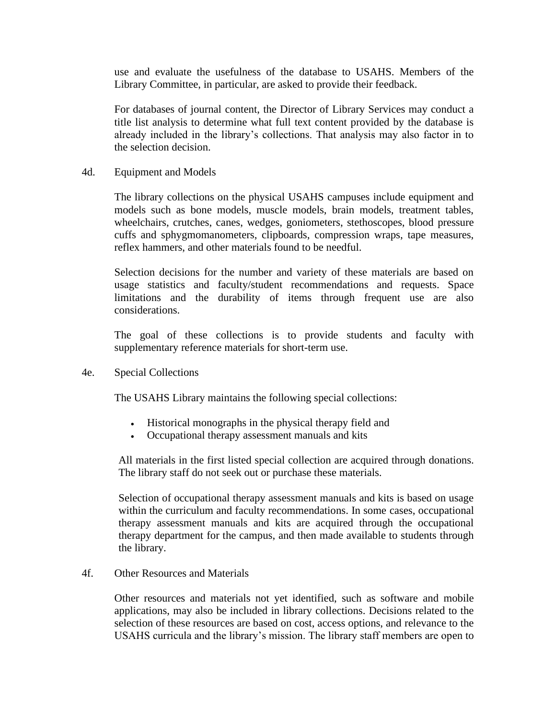use and evaluate the usefulness of the database to USAHS. Members of the Library Committee, in particular, are asked to provide their feedback.

For databases of journal content, the Director of Library Services may conduct a title list analysis to determine what full text content provided by the database is already included in the library's collections. That analysis may also factor in to the selection decision.

4d. Equipment and Models

The library collections on the physical USAHS campuses include equipment and models such as bone models, muscle models, brain models, treatment tables, wheelchairs, crutches, canes, wedges, goniometers, stethoscopes, blood pressure cuffs and sphygmomanometers, clipboards, compression wraps, tape measures, reflex hammers, and other materials found to be needful.

Selection decisions for the number and variety of these materials are based on usage statistics and faculty/student recommendations and requests. Space limitations and the durability of items through frequent use are also considerations.

The goal of these collections is to provide students and faculty with supplementary reference materials for short-term use.

4e. Special Collections

The USAHS Library maintains the following special collections:

- Historical monographs in the physical therapy field and
- Occupational therapy assessment manuals and kits

All materials in the first listed special collection are acquired through donations. The library staff do not seek out or purchase these materials.

Selection of occupational therapy assessment manuals and kits is based on usage within the curriculum and faculty recommendations. In some cases, occupational therapy assessment manuals and kits are acquired through the occupational therapy department for the campus, and then made available to students through the library.

#### 4f. Other Resources and Materials

Other resources and materials not yet identified, such as software and mobile applications, may also be included in library collections. Decisions related to the selection of these resources are based on cost, access options, and relevance to the USAHS curricula and the library's mission. The library staff members are open to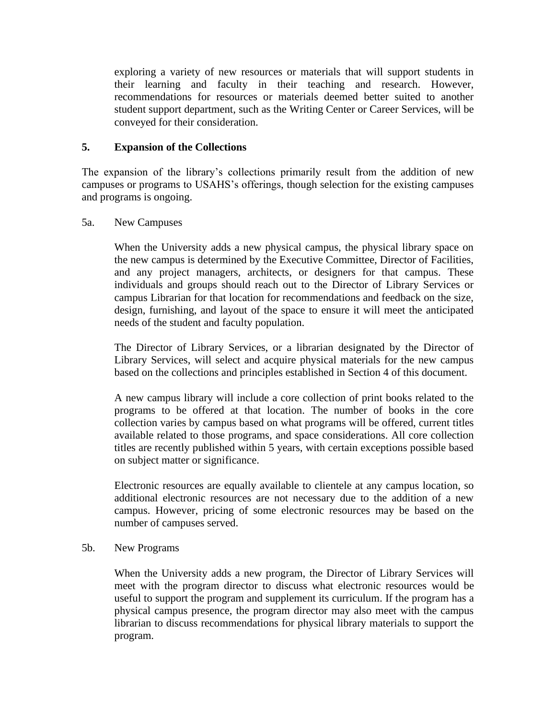exploring a variety of new resources or materials that will support students in their learning and faculty in their teaching and research. However, recommendations for resources or materials deemed better suited to another student support department, such as the Writing Center or Career Services, will be conveyed for their consideration.

## **5. Expansion of the Collections**

The expansion of the library's collections primarily result from the addition of new campuses or programs to USAHS's offerings, though selection for the existing campuses and programs is ongoing.

#### 5a. New Campuses

When the University adds a new physical campus, the physical library space on the new campus is determined by the Executive Committee, Director of Facilities, and any project managers, architects, or designers for that campus. These individuals and groups should reach out to the Director of Library Services or campus Librarian for that location for recommendations and feedback on the size, design, furnishing, and layout of the space to ensure it will meet the anticipated needs of the student and faculty population.

The Director of Library Services, or a librarian designated by the Director of Library Services, will select and acquire physical materials for the new campus based on the collections and principles established in Section 4 of this document.

A new campus library will include a core collection of print books related to the programs to be offered at that location. The number of books in the core collection varies by campus based on what programs will be offered, current titles available related to those programs, and space considerations. All core collection titles are recently published within 5 years, with certain exceptions possible based on subject matter or significance.

Electronic resources are equally available to clientele at any campus location, so additional electronic resources are not necessary due to the addition of a new campus. However, pricing of some electronic resources may be based on the number of campuses served.

5b. New Programs

When the University adds a new program, the Director of Library Services will meet with the program director to discuss what electronic resources would be useful to support the program and supplement its curriculum. If the program has a physical campus presence, the program director may also meet with the campus librarian to discuss recommendations for physical library materials to support the program.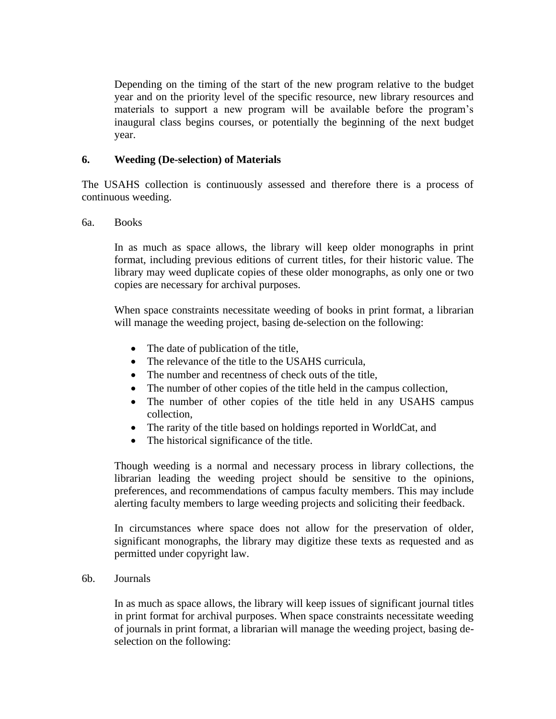Depending on the timing of the start of the new program relative to the budget year and on the priority level of the specific resource, new library resources and materials to support a new program will be available before the program's inaugural class begins courses, or potentially the beginning of the next budget year.

#### **6. Weeding (De-selection) of Materials**

The USAHS collection is continuously assessed and therefore there is a process of continuous weeding.

#### 6a. Books

In as much as space allows, the library will keep older monographs in print format, including previous editions of current titles, for their historic value. The library may weed duplicate copies of these older monographs, as only one or two copies are necessary for archival purposes.

When space constraints necessitate weeding of books in print format, a librarian will manage the weeding project, basing de-selection on the following:

- The date of publication of the title,
- The relevance of the title to the USAHS curricula.
- The number and recentness of check outs of the title,
- The number of other copies of the title held in the campus collection,
- The number of other copies of the title held in any USAHS campus collection,
- The rarity of the title based on holdings reported in WorldCat, and
- The historical significance of the title.

Though weeding is a normal and necessary process in library collections, the librarian leading the weeding project should be sensitive to the opinions, preferences, and recommendations of campus faculty members. This may include alerting faculty members to large weeding projects and soliciting their feedback.

In circumstances where space does not allow for the preservation of older, significant monographs, the library may digitize these texts as requested and as permitted under copyright law.

6b. Journals

In as much as space allows, the library will keep issues of significant journal titles in print format for archival purposes. When space constraints necessitate weeding of journals in print format, a librarian will manage the weeding project, basing deselection on the following: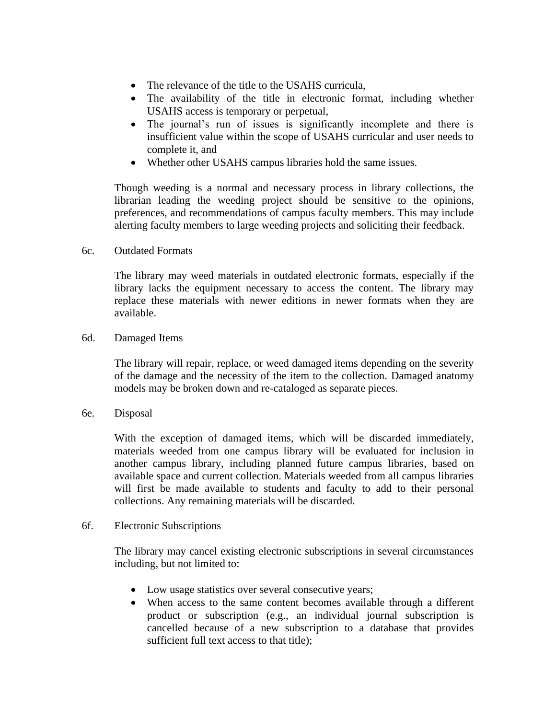- The relevance of the title to the USAHS curricula.
- The availability of the title in electronic format, including whether USAHS access is temporary or perpetual,
- The journal's run of issues is significantly incomplete and there is insufficient value within the scope of USAHS curricular and user needs to complete it, and
- Whether other USAHS campus libraries hold the same issues.

Though weeding is a normal and necessary process in library collections, the librarian leading the weeding project should be sensitive to the opinions, preferences, and recommendations of campus faculty members. This may include alerting faculty members to large weeding projects and soliciting their feedback.

#### 6c. Outdated Formats

The library may weed materials in outdated electronic formats, especially if the library lacks the equipment necessary to access the content. The library may replace these materials with newer editions in newer formats when they are available.

#### 6d. Damaged Items

The library will repair, replace, or weed damaged items depending on the severity of the damage and the necessity of the item to the collection. Damaged anatomy models may be broken down and re-cataloged as separate pieces.

6e. Disposal

With the exception of damaged items, which will be discarded immediately, materials weeded from one campus library will be evaluated for inclusion in another campus library, including planned future campus libraries, based on available space and current collection. Materials weeded from all campus libraries will first be made available to students and faculty to add to their personal collections. Any remaining materials will be discarded.

#### 6f. Electronic Subscriptions

The library may cancel existing electronic subscriptions in several circumstances including, but not limited to:

- Low usage statistics over several consecutive years;
- When access to the same content becomes available through a different product or subscription (e.g., an individual journal subscription is cancelled because of a new subscription to a database that provides sufficient full text access to that title);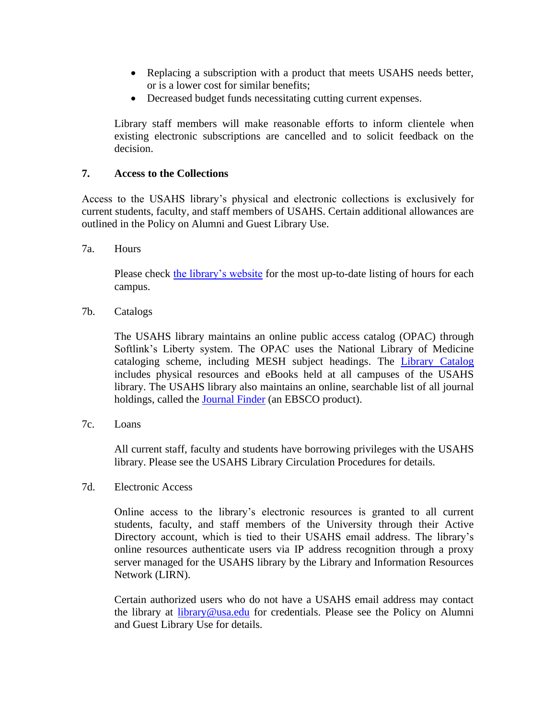- Replacing a subscription with a product that meets USAHS needs better, or is a lower cost for similar benefits;
- Decreased budget funds necessitating cutting current expenses.

Library staff members will make reasonable efforts to inform clientele when existing electronic subscriptions are cancelled and to solicit feedback on the decision.

## **7. Access to the Collections**

Access to the USAHS library's physical and electronic collections is exclusively for current students, faculty, and staff members of USAHS. Certain additional allowances are outlined in the Policy on Alumni and Guest Library Use.

7a. Hours

Please check [the library's website](https://library.usa.edu/) for the most up-to-date listing of hours for each campus.

7b. Catalogs

The USAHS library maintains an online public access catalog (OPAC) through Softlink's Liberty system. The OPAC uses the National Library of Medicine cataloging scheme, including MESH subject headings. The [Library Catalog](http://usahs.softlinkliberty.net/liberty/libraryHome.do) includes physical resources and eBooks held at all campuses of the USAHS library. The USAHS library also maintains an online, searchable list of all journal holdings, called the [Journal Finder](http://prx-usa.lirn.net/login?url=http://atoz.ebsco.com/home.asp?Id=9854) (an EBSCO product).

7c. Loans

All current staff, faculty and students have borrowing privileges with the USAHS library. Please see the USAHS Library Circulation Procedures for details.

7d. Electronic Access

Online access to the library's electronic resources is granted to all current students, faculty, and staff members of the University through their Active Directory account, which is tied to their USAHS email address. The library's online resources authenticate users via IP address recognition through a proxy server managed for the USAHS library by the Library and Information Resources Network (LIRN).

Certain authorized users who do not have a USAHS email address may contact the library at [library@usa.edu](mailto:library@usa.edu) for credentials. Please see the Policy on Alumni and Guest Library Use for details.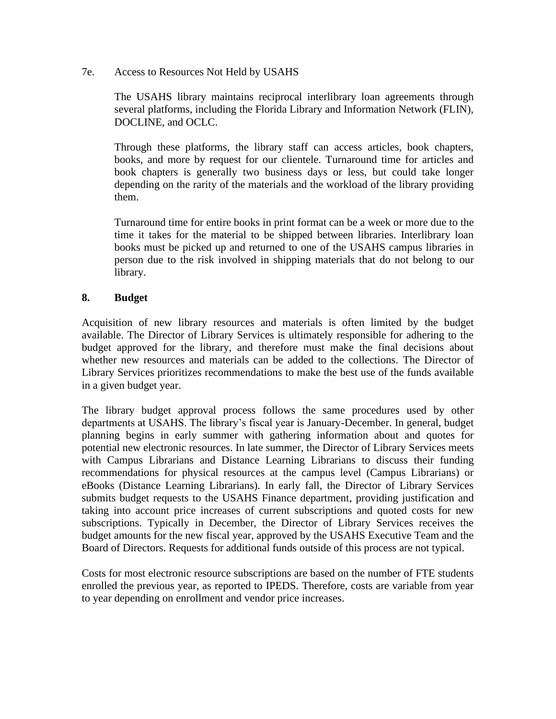7e. Access to Resources Not Held by USAHS

The USAHS library maintains reciprocal interlibrary loan agreements through several platforms, including the Florida Library and Information Network (FLIN), DOCLINE, and OCLC.

Through these platforms, the library staff can access articles, book chapters, books, and more by request for our clientele. Turnaround time for articles and book chapters is generally two business days or less, but could take longer depending on the rarity of the materials and the workload of the library providing them.

Turnaround time for entire books in print format can be a week or more due to the time it takes for the material to be shipped between libraries. Interlibrary loan books must be picked up and returned to one of the USAHS campus libraries in person due to the risk involved in shipping materials that do not belong to our library.

## **8. Budget**

Acquisition of new library resources and materials is often limited by the budget available. The Director of Library Services is ultimately responsible for adhering to the budget approved for the library, and therefore must make the final decisions about whether new resources and materials can be added to the collections. The Director of Library Services prioritizes recommendations to make the best use of the funds available in a given budget year.

The library budget approval process follows the same procedures used by other departments at USAHS. The library's fiscal year is January-December. In general, budget planning begins in early summer with gathering information about and quotes for potential new electronic resources. In late summer, the Director of Library Services meets with Campus Librarians and Distance Learning Librarians to discuss their funding recommendations for physical resources at the campus level (Campus Librarians) or eBooks (Distance Learning Librarians). In early fall, the Director of Library Services submits budget requests to the USAHS Finance department, providing justification and taking into account price increases of current subscriptions and quoted costs for new subscriptions. Typically in December, the Director of Library Services receives the budget amounts for the new fiscal year, approved by the USAHS Executive Team and the Board of Directors. Requests for additional funds outside of this process are not typical.

Costs for most electronic resource subscriptions are based on the number of FTE students enrolled the previous year, as reported to IPEDS. Therefore, costs are variable from year to year depending on enrollment and vendor price increases.